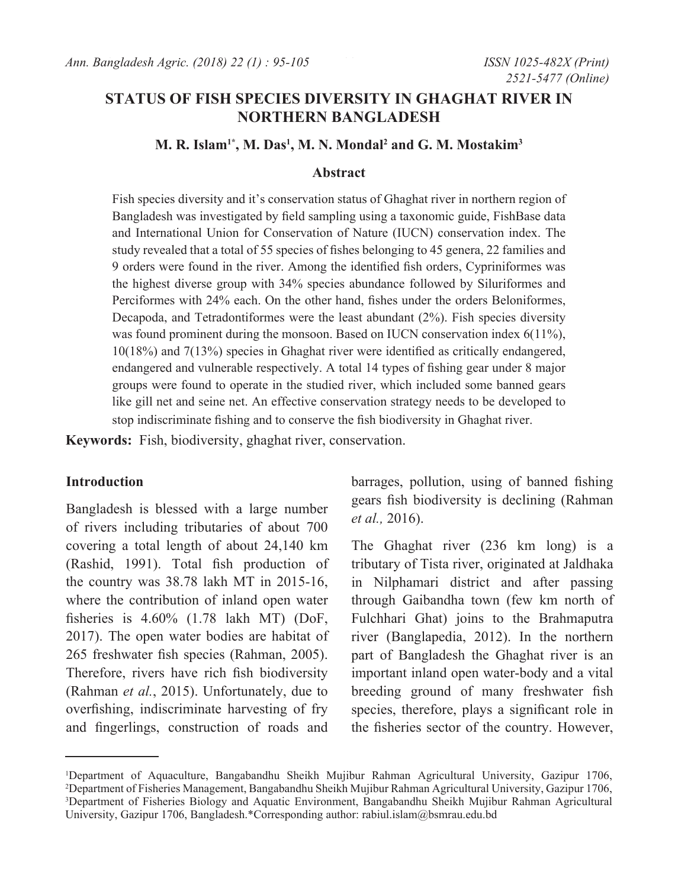# **STATUS OF FISH SPECIES DIVERSITY IN GHAGHAT RIVER IN NORTHERN BANGLADESH**

## $M$ . R. Islam<sup>1\*</sup>, M. Das<sup>1</sup>, M. N. Mondal<sup>2</sup> and G. M. Mostakim<sup>3</sup>

#### **Abstract**

Fish species diversity and it's conservation status of Ghaghat river in northern region of Bangladesh was investigated by field sampling using a taxonomic guide, FishBase data and International Union for Conservation of Nature (IUCN) conservation index. The study revealed that a total of 55 species of fishes belonging to 45 genera, 22 families and 9 orders were found in the river. Among the identified fish orders, Cypriniformes was the highest diverse group with 34% species abundance followed by Siluriformes and Perciformes with 24% each. On the other hand, fishes under the orders Beloniformes, Decapoda, and Tetradontiformes were the least abundant (2%). Fish species diversity was found prominent during the monsoon. Based on IUCN conservation index 6(11%), 10(18%) and 7(13%) species in Ghaghat river were identified as critically endangered, endangered and vulnerable respectively. A total 14 types of fishing gear under 8 major groups were found to operate in the studied river, which included some banned gears like gill net and seine net. An effective conservation strategy needs to be developed to stop indiscriminate fishing and to conserve the fish biodiversity in Ghaghat river.

**Keywords:** Fish, biodiversity, ghaghat river, conservation.

## **Introduction**

Bangladesh is blessed with a large number of rivers including tributaries of about 700 covering a total length of about 24,140 km (Rashid, 1991). Total fish production of the country was 38.78 lakh MT in 2015-16, where the contribution of inland open water fisheries is 4.60% (1.78 lakh MT) (DoF, 2017). The open water bodies are habitat of 265 freshwater fish species (Rahman, 2005). Therefore, rivers have rich fish biodiversity (Rahman *et al.*, 2015). Unfortunately, due to overfishing, indiscriminate harvesting of fry and fingerlings, construction of roads and

barrages, pollution, using of banned fishing gears fish biodiversity is declining (Rahman *et al.,* 2016).

The Ghaghat river (236 km long) is a tributary of Tista river, originated at Jaldhaka in Nilphamari district and after passing through Gaibandha town (few km north of Fulchhari Ghat) joins to the Brahmaputra river (Banglapedia, 2012). In the northern part of Bangladesh the Ghaghat river is an important inland open water-body and a vital breeding ground of many freshwater fish species, therefore, plays a significant role in the fisheries sector of the country. However,

<sup>1</sup> Department of Aquaculture, Bangabandhu Sheikh Mujibur Rahman Agricultural University, Gazipur 1706, 2 Department of Fisheries Management, Bangabandhu Sheikh Mujibur Rahman Agricultural University, Gazipur 1706, 3 Department of Fisheries Biology and Aquatic Environment, Bangabandhu Sheikh Mujibur Rahman Agricultural University, Gazipur 1706, Bangladesh.\*Corresponding author: rabiul.islam@bsmrau.edu.bd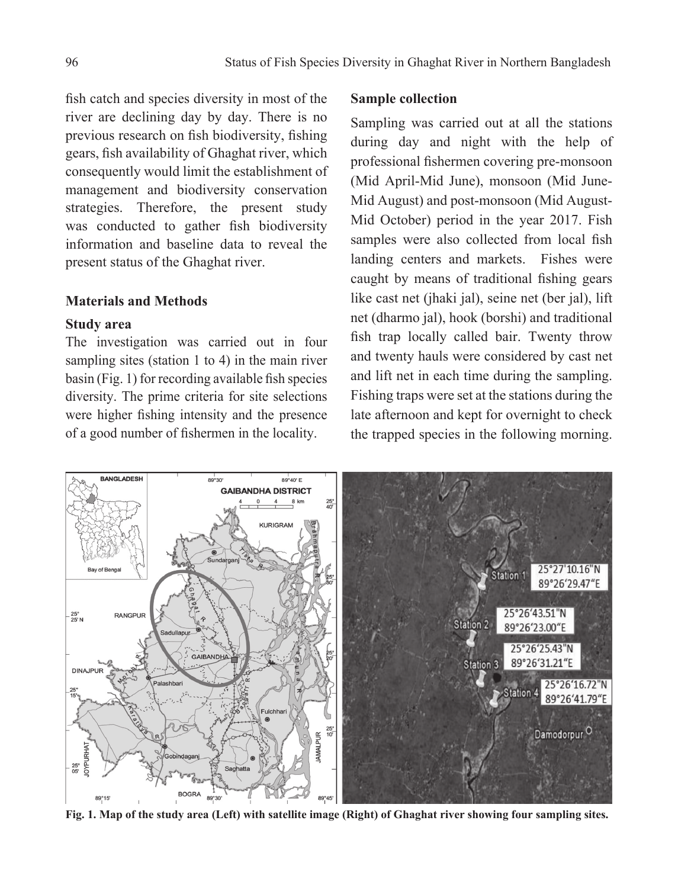fish catch and species diversity in most of the river are declining day by day. There is no previous research on fish biodiversity, fishing gears, fish availability of Ghaghat river, which consequently would limit the establishment of management and biodiversity conservation strategies. Therefore, the present study was conducted to gather fish biodiversity information and baseline data to reveal the present status of the Ghaghat river.

## **Materials and Methods**

#### **Study area**

The investigation was carried out in four sampling sites (station 1 to 4) in the main river basin (Fig. 1) for recording available fish species diversity. The prime criteria for site selections were higher fishing intensity and the presence of a good number of fishermen in the locality.

## **Sample collection**

Sampling was carried out at all the stations during day and night with the help of professional fishermen covering pre-monsoon (Mid April-Mid June), monsoon (Mid June-Mid August) and post-monsoon (Mid August-Mid October) period in the year 2017. Fish samples were also collected from local fish landing centers and markets. Fishes were caught by means of traditional fishing gears like cast net (jhaki jal), seine net (ber jal), lift net (dharmo jal), hook (borshi) and traditional fish trap locally called bair. Twenty throw and twenty hauls were considered by cast net and lift net in each time during the sampling. Fishing traps were set at the stations during the late afternoon and kept for overnight to check the trapped species in the following morning.



**Fig. 1. Map of the study area (Left) with satellite image (Right) of Ghaghat river showing four sampling sites.**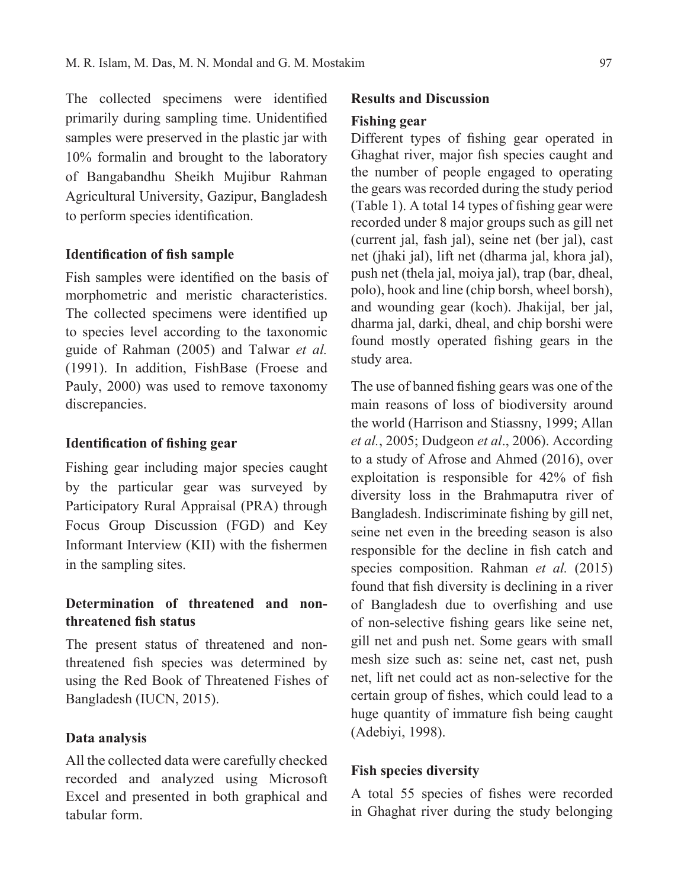The collected specimens were identified primarily during sampling time. Unidentified samples were preserved in the plastic jar with 10% formalin and brought to the laboratory of Bangabandhu Sheikh Mujibur Rahman Agricultural University, Gazipur, Bangladesh to perform species identification.

## **Identification of fish sample**

Fish samples were identified on the basis of morphometric and meristic characteristics. The collected specimens were identified up to species level according to the taxonomic guide of Rahman (2005) and Talwar *et al.* (1991). In addition, FishBase (Froese and Pauly, 2000) was used to remove taxonomy discrepancies.

## **Identification of fishing gear**

Fishing gear including major species caught by the particular gear was surveyed by Participatory Rural Appraisal (PRA) through Focus Group Discussion (FGD) and Key Informant Interview (KII) with the fishermen in the sampling sites.

## **Determination of threatened and nonthreatened fish status**

The present status of threatened and nonthreatened fish species was determined by using the Red Book of Threatened Fishes of Bangladesh (IUCN, 2015).

## **Data analysis**

All the collected data were carefully checked recorded and analyzed using Microsoft Excel and presented in both graphical and tabular form.

### **Results and Discussion**

## **Fishing gear**

Different types of fishing gear operated in Ghaghat river, major fish species caught and the number of people engaged to operating the gears was recorded during the study period (Table 1). A total 14 types of fishing gear were recorded under 8 major groups such as gill net (current jal, fash jal), seine net (ber jal), cast net (jhaki jal), lift net (dharma jal, khora jal), push net (thela jal, moiya jal), trap (bar, dheal, polo), hook and line (chip borsh, wheel borsh), and wounding gear (koch). Jhakijal, ber jal, dharma jal, darki, dheal, and chip borshi were found mostly operated fishing gears in the study area.

The use of banned fishing gears was one of the main reasons of loss of biodiversity around the world (Harrison and Stiassny, 1999; Allan *et al.*, 2005; Dudgeon *et al*., 2006). According to a study of Afrose and Ahmed (2016), over exploitation is responsible for 42% of fish diversity loss in the Brahmaputra river of Bangladesh. Indiscriminate fishing by gill net, seine net even in the breeding season is also responsible for the decline in fish catch and species composition. Rahman *et al.* (2015) found that fish diversity is declining in a river of Bangladesh due to overfishing and use of non-selective fishing gears like seine net, gill net and push net. Some gears with small mesh size such as: seine net, cast net, push net, lift net could act as non-selective for the certain group of fishes, which could lead to a huge quantity of immature fish being caught (Adebiyi, 1998).

#### **Fish species diversity**

A total 55 species of fishes were recorded in Ghaghat river during the study belonging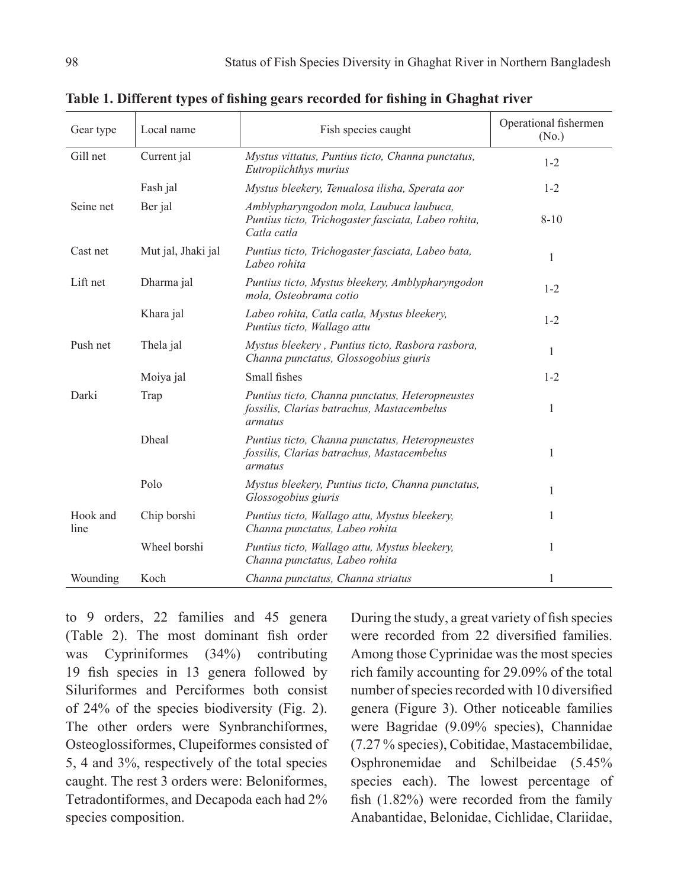| Gear type        | Local name         | Fish species caught                                                                                           | Operational fishermen<br>(N <sub>0</sub> ) |  |
|------------------|--------------------|---------------------------------------------------------------------------------------------------------------|--------------------------------------------|--|
| Gill net         | Current jal        | Mystus vittatus, Puntius ticto, Channa punctatus,<br>Eutropiichthys murius                                    | $1 - 2$                                    |  |
|                  | Fash jal           | Mystus bleekery, Tenualosa ilisha, Sperata aor                                                                | $1 - 2$                                    |  |
| Seine net        | Ber jal            | Amblypharyngodon mola, Laubuca laubuca,<br>Puntius ticto, Trichogaster fasciata, Labeo rohita,<br>Catla catla | $8 - 10$                                   |  |
| Cast net         | Mut jal, Jhaki jal | Puntius ticto, Trichogaster fasciata, Labeo bata,<br>Labeo rohita                                             | 1                                          |  |
| Lift net         | Dharma jal         | Puntius ticto, Mystus bleekery, Amblypharyngodon<br>mola, Osteobrama cotio                                    | $1 - 2$                                    |  |
|                  | Khara jal          | Labeo rohita, Catla catla, Mystus bleekery,<br>Puntius ticto, Wallago attu                                    | $1 - 2$                                    |  |
| Push net         | Thela jal          | Mystus bleekery, Puntius ticto, Rasbora rasbora,<br>Channa punctatus, Glossogobius giuris                     | 1                                          |  |
|                  | Moiya jal          | Small fishes                                                                                                  | $1 - 2$                                    |  |
| Darki            | Trap               | Puntius ticto, Channa punctatus, Heteropneustes<br>fossilis, Clarias batrachus, Mastacembelus<br>armatus      | 1                                          |  |
|                  | Dheal              | Puntius ticto, Channa punctatus, Heteropneustes<br>fossilis, Clarias batrachus, Mastacembelus<br>armatus      | 1                                          |  |
|                  | Polo               | Mystus bleekery, Puntius ticto, Channa punctatus,<br>Glossogobius giuris                                      | 1                                          |  |
| Hook and<br>line | Chip borshi        | Puntius ticto, Wallago attu, Mystus bleekery,<br>Channa punctatus, Labeo rohita                               | 1                                          |  |
|                  | Wheel borshi       | Puntius ticto, Wallago attu, Mystus bleekery,<br>Channa punctatus, Labeo rohita                               | 1                                          |  |
| Wounding         | Koch               | Channa punctatus, Channa striatus                                                                             | 1                                          |  |

**Table 1. Different types of fishing gears recorded for fishing in Ghaghat river**

to 9 orders, 22 families and 45 genera (Table 2). The most dominant fish order was Cypriniformes (34%) contributing 19 fish species in 13 genera followed by Siluriformes and Perciformes both consist of 24% of the species biodiversity (Fig. 2). The other orders were Synbranchiformes, Osteoglossiformes, Clupeiformes consisted of 5, 4 and 3%, respectively of the total species caught. The rest 3 orders were: Beloniformes, Tetradontiformes, and Decapoda each had 2% species composition.

During the study, a great variety of fish species were recorded from 22 diversified families. Among those Cyprinidae was the most species rich family accounting for 29.09% of the total number of species recorded with 10 diversified genera (Figure 3). Other noticeable families were Bagridae (9.09% species), Channidae (7.27 % species), Cobitidae, Mastacembilidae, Osphronemidae and Schilbeidae (5.45% species each). The lowest percentage of fish (1.82%) were recorded from the family Anabantidae, Belonidae, Cichlidae, Clariidae,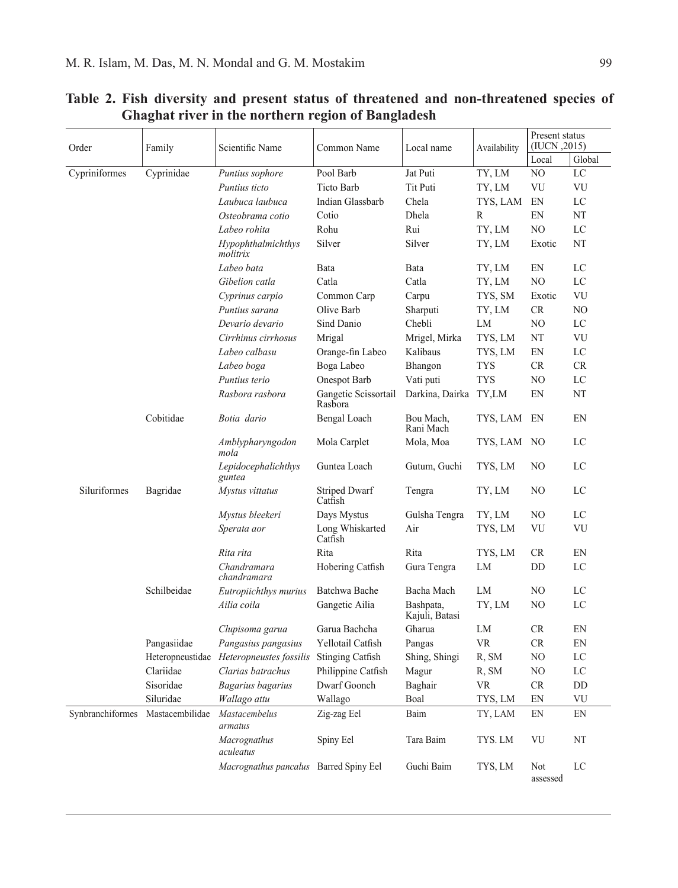| Order            | Family           | Scientific Name                        | Common Name                     | Local name                  | Availability | Present status<br>(IUCN, 2015) |        |
|------------------|------------------|----------------------------------------|---------------------------------|-----------------------------|--------------|--------------------------------|--------|
|                  |                  |                                        |                                 |                             |              | Local                          | Global |
| Cypriniformes    | Cyprinidae       | Puntius sophore                        | Pool Barb                       | Jat Puti                    | TY, LM       | NO                             | LC     |
|                  |                  | Puntius ticto                          | <b>Ticto Barb</b>               | Tit Puti                    | TY, LM       | VU                             | VU     |
|                  |                  | Laubuca laubuca                        | Indian Glassbarb                | Chela                       | TYS, LAM     | EN                             | LC     |
|                  |                  | Osteobrama cotio                       | Cotio                           | Dhela                       | R            | EN                             | NT     |
|                  |                  | Labeo rohita                           | Rohu                            | Rui                         | TY, LM       | NO                             | LC     |
|                  |                  | Hypophthalmichthys<br>molitrix         | Silver                          | Silver                      | TY, LM       | Exotic                         | NT     |
|                  |                  | Labeo bata                             | Bata                            | Bata                        | TY, LM       | EN                             | LC     |
|                  |                  | Gibelion catla                         | Catla                           | Catla                       | TY, LM       | NO                             | LC     |
|                  |                  | Cyprinus carpio                        | Common Carp                     | Carpu                       | TYS, SM      | Exotic                         | VU     |
|                  |                  | Puntius sarana                         | Olive Barb                      | Sharputi                    | TY, LM       | <b>CR</b>                      | NO.    |
|                  |                  | Devario devario                        | Sind Danio                      | Chebli                      | LM           | NO.                            | LC     |
|                  |                  | Cirrhinus cirrhosus                    | Mrigal                          | Mrigel, Mirka               | TYS, LM      | NT                             | VU     |
|                  |                  | Labeo calbasu                          | Orange-fin Labeo                | Kalibaus                    | TYS, LM      | EN                             | LC     |
|                  |                  | Labeo boga                             | Boga Labeo                      | Bhangon                     | <b>TYS</b>   | <b>CR</b>                      | CR.    |
|                  |                  | Puntius terio                          | Onespot Barb                    | Vati puti                   | <b>TYS</b>   | NO                             | LC     |
|                  |                  | Rasbora rasbora                        | Gangetic Scissortail<br>Rasbora | Darkina, Dairka TY,LM       |              | EN                             | NT     |
|                  | Cobitidae        | Botia dario                            | Bengal Loach                    | Bou Mach,<br>Rani Mach      | TYS, LAM     | EN                             | EN     |
|                  |                  | Amblypharyngodon<br>mola               | Mola Carplet                    | Mola, Moa                   | TYS, LAM     | N <sub>O</sub>                 | LC     |
|                  |                  | Lepidocephalichthys<br>guntea          | Guntea Loach                    | Gutum, Guchi                | TYS, LM      | NO                             | LC     |
| Siluriformes     | Bagridae         | Mystus vittatus                        | <b>Striped Dwarf</b><br>Catfish | Tengra                      | TY, LM       | NO.                            | LC     |
|                  |                  | Mystus bleekeri                        | Days Mystus                     | Gulsha Tengra               | TY, LM       | NO                             | LC     |
|                  |                  | Sperata aor                            | Long Whiskarted<br>Catfish      | Air                         | TYS, LM      | VU                             | VU     |
|                  |                  | Rita rita                              | Rita                            | Rita                        | TYS, LM      | <b>CR</b>                      | EN     |
|                  |                  | Chandramara<br>chandramara             | Hobering Catfish                | Gura Tengra                 | LM           | DD                             | LC     |
|                  | Schilbeidae      | Eutropiichthys murius                  | Batchwa Bache                   | Bacha Mach                  | LM           | NO                             | LC     |
|                  |                  | Ailia coila                            | Gangetic Ailia                  | Bashpata,<br>Kajuli, Batasi | TY, LM       | NO.                            | LC     |
|                  |                  | Clupisoma garua                        | Garua Bachcha                   | Gharua                      | LM           | <b>CR</b>                      | EN     |
|                  | Pangasiidae      | Pangasius pangasius                    | Yellotail Catfish               | Pangas                      | <b>VR</b>    | CR                             | EN     |
|                  | Heteropneustidae | Heteropneustes fossilis                | <b>Stinging Catfish</b>         | Shing, Shingi               | R, SM        | NO                             | LC     |
|                  | Clariidae        | Clarias batrachus                      | Philippine Catfish              | Magur                       | R, SM        | NO                             | LC     |
|                  | Sisoridae        | Bagarius bagarius                      | Dwarf Goonch                    | Baghair                     | <b>VR</b>    | <b>CR</b>                      | DD     |
|                  | Siluridae        | Wallago attu                           | Wallago                         | Boal                        | TYS, LM      | EN                             | VU     |
| Synbranchiformes | Mastacembilidae  | Mastacembelus<br>armatus               | Zig-zag Eel                     | Baim                        | TY, LAM      | EN                             | EN     |
|                  |                  | Macrognathus<br>aculeatus              | Spiny Eel                       | Tara Baim                   | TYS. LM      | VU                             | NT     |
|                  |                  | Macrognathus pancalus Barred Spiny Eel |                                 | Guchi Baim                  | TYS, LM      | Not<br>assessed                | LC     |

# **Table 2. Fish diversity and present status of threatened and non-threatened species of Ghaghat river in the northern region of Bangladesh**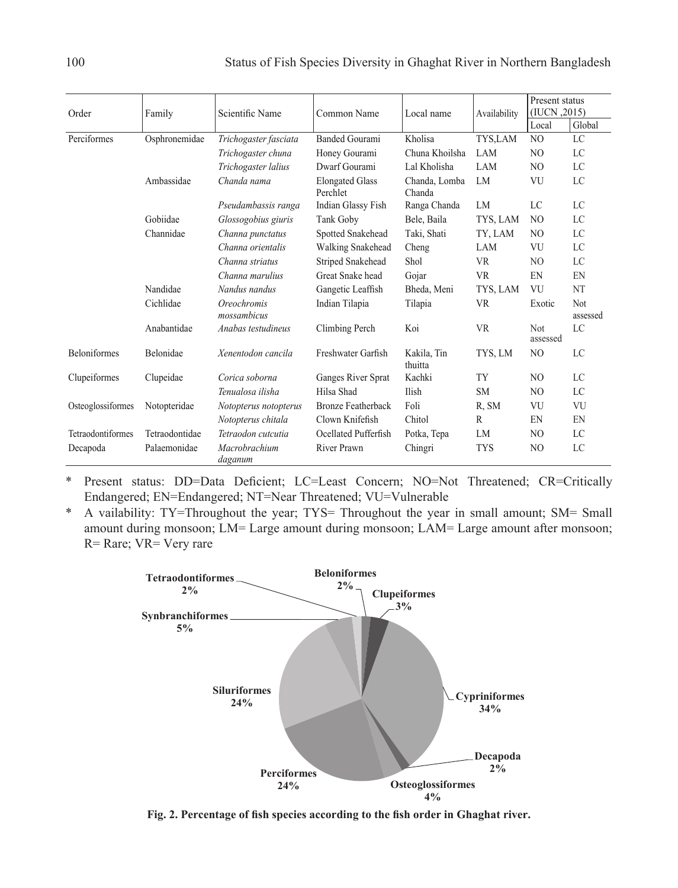| Order               | Family         | Scientific Name                          | Common Name                        | Local name              | Availability | Present status<br>(IUCN, 2015) |                        |
|---------------------|----------------|------------------------------------------|------------------------------------|-------------------------|--------------|--------------------------------|------------------------|
|                     |                |                                          |                                    |                         |              | Local                          | Global                 |
| Perciformes         | Osphronemidae  | Trichogaster fasciata                    | <b>Banded Gourami</b>              | Kholisa                 | TYS,LAM      | NO.                            | LC                     |
|                     |                | Trichogaster chuna                       | Honey Gourami                      | Chuna Khoilsha          | <b>LAM</b>   | N <sub>O</sub>                 | LC                     |
|                     |                | Trichogaster lalius                      | Dwarf Gourami                      | Lal Kholisha            | LAM          | NO.                            | LC                     |
|                     | Ambassidae     | Chanda nama                              | <b>Elongated Glass</b><br>Perchlet | Chanda, Lomba<br>Chanda | LM           | VU                             | LC                     |
|                     |                | Pseudambassis ranga                      | Indian Glassy Fish                 | Ranga Chanda            | LM           | LC                             | LC                     |
|                     | Gobiidae       | Glossogobius giuris                      | Tank Goby                          | Bele, Baila             | TYS, LAM     | NO.                            | LC                     |
|                     | Channidae      | Channa punctatus                         | Spotted Snakehead                  | Taki, Shati             | TY, LAM      | N <sub>O</sub>                 | LC                     |
|                     |                | Channa orientalis                        | <b>Walking Snakehead</b>           | Cheng                   | LAM          | VU                             | LC                     |
|                     |                | Channa striatus                          | Striped Snakehead                  | Shol                    | <b>VR</b>    | N <sub>O</sub>                 | LC                     |
|                     |                | Channa marulius                          | Great Snake head                   | Gojar                   | <b>VR</b>    | EN                             | EN                     |
|                     | Nandidae       | Nandus nandus                            | Gangetic Leaffish                  | Bheda, Meni             | TYS, LAM     | VU                             | <b>NT</b>              |
|                     | Cichlidae      | <i><b>Oreochromis</b></i><br>mossambicus | Indian Tilapia                     | Tilapia                 | <b>VR</b>    | Exotic                         | <b>Not</b><br>assessed |
|                     | Anabantidae    | Anabas testudineus                       | Climbing Perch                     | Koi                     | <b>VR</b>    | <b>Not</b><br>assessed         | LC                     |
| <b>Beloniformes</b> | Belonidae      | Xenentodon cancila                       | Freshwater Garfish                 | Kakila, Tin<br>thuitta  | TYS, LM      | N <sub>O</sub>                 | LC                     |
| Clupeiformes        | Clupeidae      | Corica soborna                           | Ganges River Sprat                 | Kachki                  | TY           | NO.                            | LC                     |
|                     |                | Tenualosa ilisha                         | Hilsa Shad                         | Ilish                   | <b>SM</b>    | NO.                            | LC                     |
| Osteoglossiformes   | Notopteridae   | Notopterus notopterus                    | <b>Bronze Featherback</b>          | Foli                    | R, SM        | VU                             | VU                     |
|                     |                | Notopterus chitala                       | Clown Knifefish                    | Chitol                  | R            | EN                             | EN                     |
| Tetraodontiformes   | Tetraodontidae | Tetraodon cutcutia                       | Ocellated Pufferfish               | Potka, Tepa             | LM           | NO.                            | LC                     |
| Decapoda            | Palaemonidae   | Macrobrachium<br>daganum                 | <b>River Prawn</b>                 | Chingri                 | <b>TYS</b>   | N <sub>O</sub>                 | LC                     |

\* Present status: DD=Data Deficient; LC=Least Concern; NO=Not Threatened; CR=Critically Endangered; EN=Endangered; NT=Near Threatened; VU=Vulnerable

\* A vailability: TY=Throughout the year; TYS= Throughout the year in small amount; SM= Small amount during monsoon; LM= Large amount during monsoon; LAM= Large amount after monsoon; R= Rare; VR= Very rare



**Fig. 2. Percentage of fish species according to the fish order in Ghaghat river.**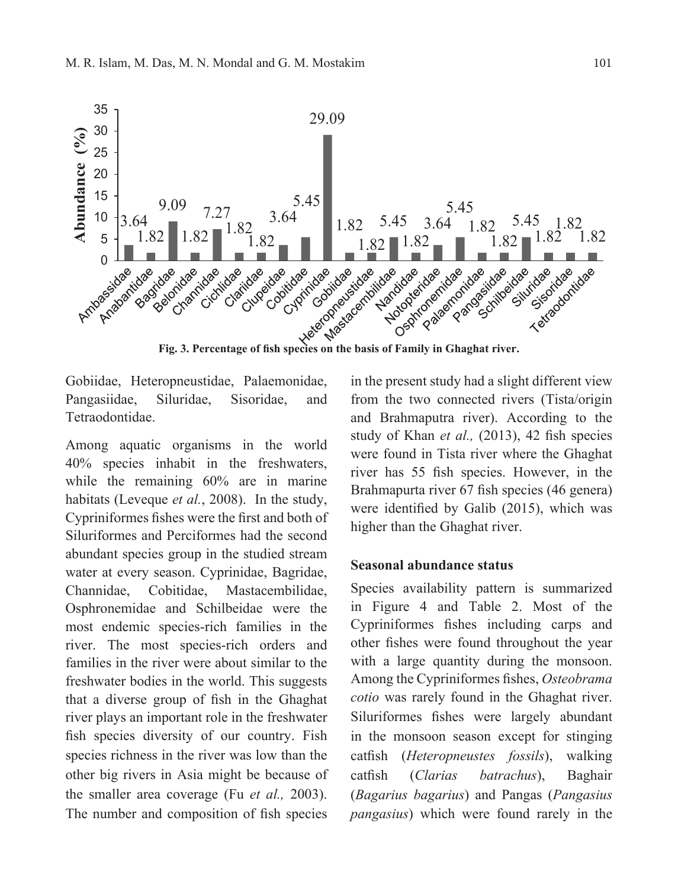

Gobiidae, Heteropneustidae, Palaemonidae, Pangasiidae, Siluridae, Sisoridae, and Tetraodontidae.

Among aquatic organisms in the world 40% species inhabit in the freshwaters, while the remaining 60% are in marine habitats (Leveque *et al.*, 2008). In the study, Cypriniformes fishes were the first and both of Siluriformes and Perciformes had the second abundant species group in the studied stream water at every season. Cyprinidae, Bagridae, Channidae, Cobitidae, Mastacembilidae, Osphronemidae and Schilbeidae were the most endemic species-rich families in the river. The most species-rich orders and families in the river were about similar to the freshwater bodies in the world. This suggests that a diverse group of fish in the Ghaghat river plays an important role in the freshwater fish species diversity of our country. Fish species richness in the river was low than the other big rivers in Asia might be because of the smaller area coverage (Fu *et al.,* 2003). The number and composition of fish species in the present study had a slight different view from the two connected rivers (Tista/origin and Brahmaputra river). According to the study of Khan *et al.,* (2013), 42 fish species were found in Tista river where the Ghaghat river has 55 fish species. However, in the Brahmapurta river 67 fish species (46 genera) were identified by Galib (2015), which was higher than the Ghaghat river.

## **Seasonal abundance status**

Species availability pattern is summarized in Figure 4 and Table 2. Most of the Cypriniformes fishes including carps and other fishes were found throughout the year with a large quantity during the monsoon. Among the Cypriniformes fishes, *Osteobrama cotio* was rarely found in the Ghaghat river. Siluriformes fishes were largely abundant in the monsoon season except for stinging catfish (*Heteropneustes fossils*), walking catfish (*Clarias batrachus*), Baghair (*Bagarius bagarius*) and Pangas (*Pangasius pangasius*) which were found rarely in the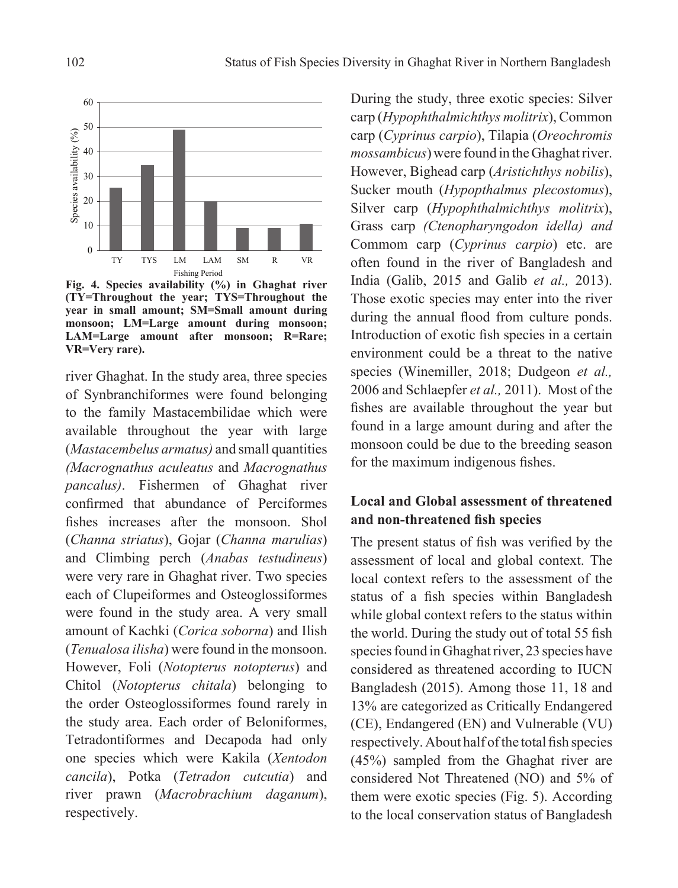

**Fig. 4. Species availability (%) in Ghaghat river (TY=Throughout the year; TYS=Throughout the year in small amount; SM=Small amount during monsoon; LM=Large amount during monsoon; LAM=Large amount after monsoon; R=Rare; VR=Very rare).**

river Ghaghat. In the study area, three species of Synbranchiformes were found belonging to the family Mastacembilidae which were available throughout the year with large (*Mastacembelus armatus)* and small quantities *(Macrognathus aculeatus* and *Macrognathus pancalus)*. Fishermen of Ghaghat river confirmed that abundance of Perciformes fishes increases after the monsoon. Shol (*Channa striatus*), Gojar (*Channa marulias*) and Climbing perch (*Anabas testudineus*) were very rare in Ghaghat river. Two species each of Clupeiformes and Osteoglossiformes were found in the study area. A very small amount of Kachki (*Corica soborna*) and Ilish (*Tenualosa ilisha*) were found in the monsoon. However, Foli (*Notopterus notopterus*) and Chitol (*Notopterus chitala*) belonging to the order Osteoglossiformes found rarely in the study area. Each order of Beloniformes, Tetradontiformes and Decapoda had only one species which were Kakila (*Xentodon cancila*), Potka (*Tetradon cutcutia*) and river prawn (*Macrobrachium daganum*), respectively.

During the study, three exotic species: Silver carp (*Hypophthalmichthys molitrix*), Common carp (*Cyprinus carpio*), Tilapia (*Oreochromis mossambicus*) were found in the Ghaghat river. However, Bighead carp (*Aristichthys nobilis*), Sucker mouth (*Hypopthalmus plecostomus*), Silver carp (*Hypophthalmichthys molitrix*), Grass carp *(Ctenopharyngodon idella) and*  Commom carp (*Cyprinus carpio*) etc. are often found in the river of Bangladesh and India (Galib, 2015 and Galib *et al.,* 2013). Those exotic species may enter into the river during the annual flood from culture ponds. Introduction of exotic fish species in a certain environment could be a threat to the native species (Winemiller, 2018; Dudgeon *et al.,* 2006 and Schlaepfer *et al.,* 2011). Most of the fishes are available throughout the year but found in a large amount during and after the monsoon could be due to the breeding season for the maximum indigenous fishes.

## **Local and Global assessment of threatened and non-threatened fish species**

The present status of fish was verified by the assessment of local and global context. The local context refers to the assessment of the status of a fish species within Bangladesh while global context refers to the status within the world. During the study out of total 55 fish species found in Ghaghat river, 23 species have considered as threatened according to IUCN Bangladesh (2015). Among those 11, 18 and 13% are categorized as Critically Endangered (CE), Endangered (EN) and Vulnerable (VU) respectively. About half of the total fish species (45%) sampled from the Ghaghat river are considered Not Threatened (NO) and 5% of them were exotic species (Fig. 5). According to the local conservation status of Bangladesh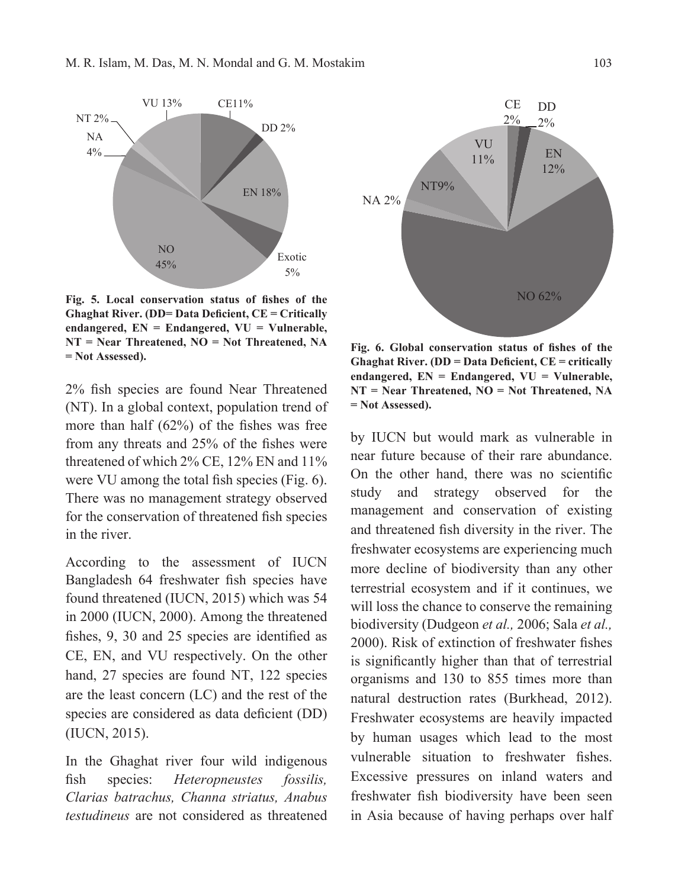

**Fig. 5. Local conservation status of fishes of the Ghaghat River. (DD= Data Deficient, CE = Critically endangered, EN = Endangered, VU = Vulnerable, NT = Near Threatened, NO = Not Threatened, NA <b>Fig. 6. Global conservation status of fishes of the**  $=$  **Not Assessed**).

2% fish species are found Near Threatened (NT). In a global context, population trend of more than half (62%) of the fishes was free from any threats and 25% of the fishes were threatened of which 2% CE, 12% EN and 11% were VU among the total fish species (Fig. 6). There was no management strategy observed for the conservation of threatened fish species in the river.

According to the assessment of IUCN Bangladesh 64 freshwater fish species have found threatened (IUCN, 2015) which was 54 in 2000 (IUCN, 2000). Among the threatened fishes, 9, 30 and 25 species are identified as CE, EN, and VU respectively. On the other hand, 27 species are found NT, 122 species are the least concern (LC) and the rest of the species are considered as data deficient (DD) (IUCN, 2015).

In the Ghaghat river four wild indigenous fish species: *Heteropneustes fossilis, Clarias batrachus, Channa striatus, Anabus testudineus* are not considered as threatened



**Ghaghat River. (DD = Data Deficient, CE = critically endangered, EN = Endangered, VU = Vulnerable, NT = Near Threatened, NO = Not Threatened, NA = Not Assessed).**

by IUCN but would mark as vulnerable in near future because of their rare abundance. On the other hand, there was no scientific study and strategy observed for the management and conservation of existing and threatened fish diversity in the river. The freshwater ecosystems are experiencing much more decline of biodiversity than any other terrestrial ecosystem and if it continues, we will loss the chance to conserve the remaining biodiversity (Dudgeon *et al.,* 2006; Sala *et al.,* 2000). Risk of extinction of freshwater fishes is significantly higher than that of terrestrial organisms and 130 to 855 times more than natural destruction rates (Burkhead, 2012). Freshwater ecosystems are heavily impacted by human usages which lead to the most vulnerable situation to freshwater fishes. Excessive pressures on inland waters and freshwater fish biodiversity have been seen in Asia because of having perhaps over half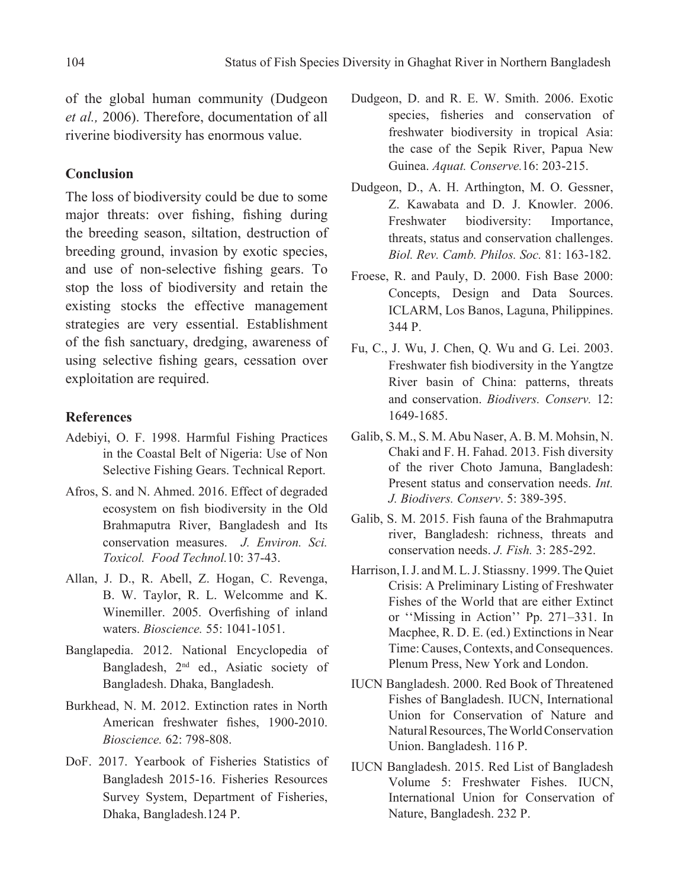of the global human community (Dudgeon *et al.,* 2006). Therefore, documentation of all riverine biodiversity has enormous value.

## **Conclusion**

The loss of biodiversity could be due to some major threats: over fishing, fishing during the breeding season, siltation, destruction of breeding ground, invasion by exotic species, and use of non-selective fishing gears. To stop the loss of biodiversity and retain the existing stocks the effective management strategies are very essential. Establishment of the fish sanctuary, dredging, awareness of using selective fishing gears, cessation over exploitation are required.

## **References**

- Adebiyi, O. F. 1998. Harmful Fishing Practices in the Coastal Belt of Nigeria: Use of Non Selective Fishing Gears. Technical Report.
- Afros, S. and N. Ahmed. 2016. Effect of degraded ecosystem on fish biodiversity in the Old Brahmaputra River, Bangladesh and Its conservation measures. *J. Environ. Sci. Toxicol. Food Technol.*10: 37-43.
- Allan, J. D., R. Abell, Z. Hogan, C. Revenga, B. W. Taylor, R. L. Welcomme and K. Winemiller. 2005. Overfishing of inland waters. *Bioscience.* 55: 1041-1051.
- Banglapedia. 2012. National Encyclopedia of Bangladesh, 2nd ed., Asiatic society of Bangladesh. Dhaka, Bangladesh.
- Burkhead, N. M. 2012. Extinction rates in North American freshwater fishes, 1900-2010. *Bioscience.* 62: 798-808.
- DoF. 2017. Yearbook of Fisheries Statistics of Bangladesh 2015-16. Fisheries Resources Survey System, Department of Fisheries, Dhaka, Bangladesh.124 P.
- Dudgeon, D. and R. E. W. Smith. 2006. Exotic species, fisheries and conservation of freshwater biodiversity in tropical Asia: the case of the Sepik River, Papua New Guinea. *Aquat. Conserve.*16: 203-215.
- Dudgeon, D., A. H. Arthington, M. O. Gessner, Z. Kawabata and D. J. Knowler. 2006. Freshwater biodiversity: Importance, threats, status and conservation challenges. *Biol. Rev. Camb. Philos. Soc.* 81: 163-182.
- Froese, R. and Pauly, D. 2000. Fish Base 2000: Concepts, Design and Data Sources. ICLARM, Los Banos, Laguna, Philippines. 344 P.
- Fu, C., J. Wu, J. Chen, Q. Wu and G. Lei. 2003. Freshwater fish biodiversity in the Yangtze River basin of China: patterns, threats and conservation. *Biodivers. Conserv.* 12: 1649-1685.
- Galib, S. M., S. M. Abu Naser, A. B. M. Mohsin, N. Chaki and F. H. Fahad. 2013. Fish diversity of the river Choto Jamuna, Bangladesh: Present status and conservation needs. *Int. J. Biodivers. Conserv*. 5: 389-395.
- Galib, S. M. 2015. Fish fauna of the Brahmaputra river, Bangladesh: richness, threats and conservation needs. *J. Fish.* 3: 285-292.
- Harrison, I. J. and M. L. J. Stiassny. 1999. The Quiet Crisis: A Preliminary Listing of Freshwater Fishes of the World that are either Extinct or ''Missing in Action'' Pp. 271–331. In Macphee, R. D. E. (ed.) Extinctions in Near Time: Causes, Contexts, and Consequences. Plenum Press, New York and London.
- IUCN Bangladesh. 2000. Red Book of Threatened Fishes of Bangladesh. IUCN, International Union for Conservation of Nature and Natural Resources, The World Conservation Union. Bangladesh. 116 P.
- IUCN Bangladesh. 2015. Red List of Bangladesh Volume 5: Freshwater Fishes. IUCN, International Union for Conservation of Nature, Bangladesh. 232 P.